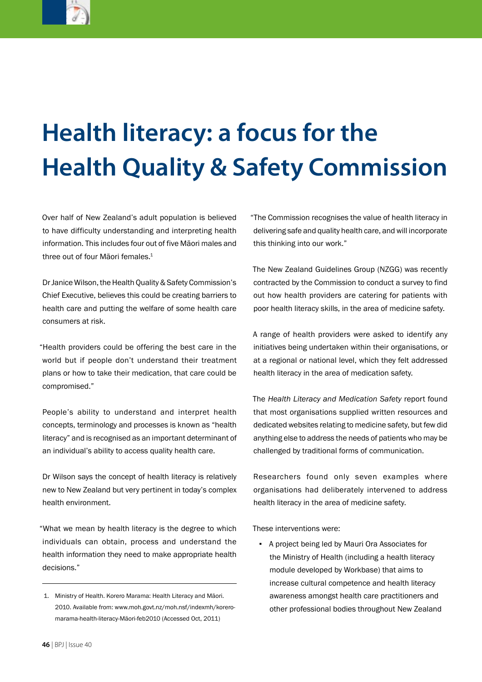

## **Health literacy: a focus for the Health Quality & Safety Commission**

Over half of New Zealand's adult population is believed to have difficulty understanding and interpreting health information. This includes four out of five Māori males and three out of four Māori females.<sup>1</sup>

Dr Janice Wilson, the Health Quality & Safety Commission's Chief Executive, believes this could be creating barriers to health care and putting the welfare of some health care consumers at risk.

"Health providers could be offering the best care in the world but if people don't understand their treatment plans or how to take their medication, that care could be compromised."

People's ability to understand and interpret health concepts, terminology and processes is known as "health literacy" and is recognised as an important determinant of an individual's ability to access quality health care.

Dr Wilson says the concept of health literacy is relatively new to New Zealand but very pertinent in today's complex health environment.

"What we mean by health literacy is the degree to which individuals can obtain, process and understand the health information they need to make appropriate health decisions."

"The Commission recognises the value of health literacy in delivering safe and quality health care, and will incorporate this thinking into our work."

The New Zealand Guidelines Group (NZGG) was recently contracted by the Commission to conduct a survey to find out how health providers are catering for patients with poor health literacy skills, in the area of medicine safety.

A range of health providers were asked to identify any initiatives being undertaken within their organisations, or at a regional or national level, which they felt addressed health literacy in the area of medication safety.

The *Health Literacy and Medication Safety* report found that most organisations supplied written resources and dedicated websites relating to medicine safety, but few did anything else to address the needs of patients who may be challenged by traditional forms of communication.

Researchers found only seven examples where organisations had deliberately intervened to address health literacy in the area of medicine safety.

These interventions were:

▪ A project being led by Mauri Ora Associates for the Ministry of Health (including a health literacy module developed by Workbase) that aims to increase cultural competence and health literacy awareness amongst health care practitioners and other professional bodies throughout New Zealand

 <sup>1.</sup> Ministry of Health. Korero Marama: Health Literacy and Māori. 2010. Available from: www.moh.govt.nz/moh.nsf/indexmh/koreromarama-health-literacy-Māori-feb2010 (Accessed Oct, 2011)